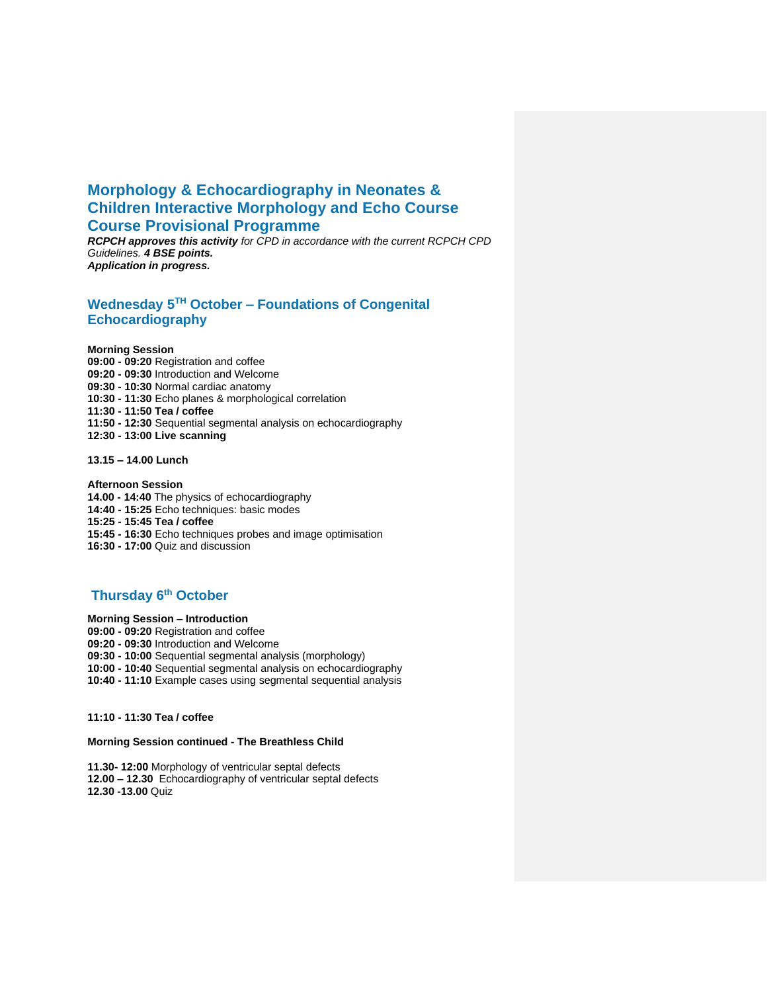# **Morphology & Echocardiography in Neonates & Children Interactive Morphology and Echo Course Course Provisional Programme**

*RCPCH approves this activity for CPD in accordance with the current RCPCH CPD Guidelines. 4 BSE points. Application in progress.*

## **Wednesday 5 TH October – Foundations of Congenital Echocardiography**

**Morning Session**

**09:00 - 09:20** Registration and coffee **09:20 - 09:30** Introduction and Welcome **09:30 - 10:30** Normal cardiac anatomy **10:30 - 11:30** Echo planes & morphological correlation **11:30 - 11:50 Tea / coffee 11:50 - 12:30** Sequential segmental analysis on echocardiography **12:30 - 13:00 Live scanning**

**13.15 – 14.00 Lunch** 

**Afternoon Session**

- **14.00 - 14:40** The physics of echocardiography
- **14:40 - 15:25** Echo techniques: basic modes

**15:25 - 15:45 Tea / coffee**

**15:45 - 16:30** Echo techniques probes and image optimisation

**16:30 - 17:00** Quiz and discussion

## **Thursday 6th October**

© CongenitalEcho 2015 to 2020 **Morning Session – Introduction**

- **09:00 - 09:20** Registration and coffee
- **09:20 - 09:30** Introduction and Welcome

**09:30 - 10:00** Sequential segmental analysis (morphology)

- **10:00 - 10:40** Sequential segmental analysis on echocardiography
- **10:40 - 11:10** Example cases using segmental sequential analysis

#### **11:10 - 11:30 Tea / coffee**

#### **Morning Session continued - The Breathless Child**

**11.30- 12:00** Morphology of ventricular septal defects **12.00 – 12.30** Echocardiography of ventricular septal defects **12.30 -13.00** Quiz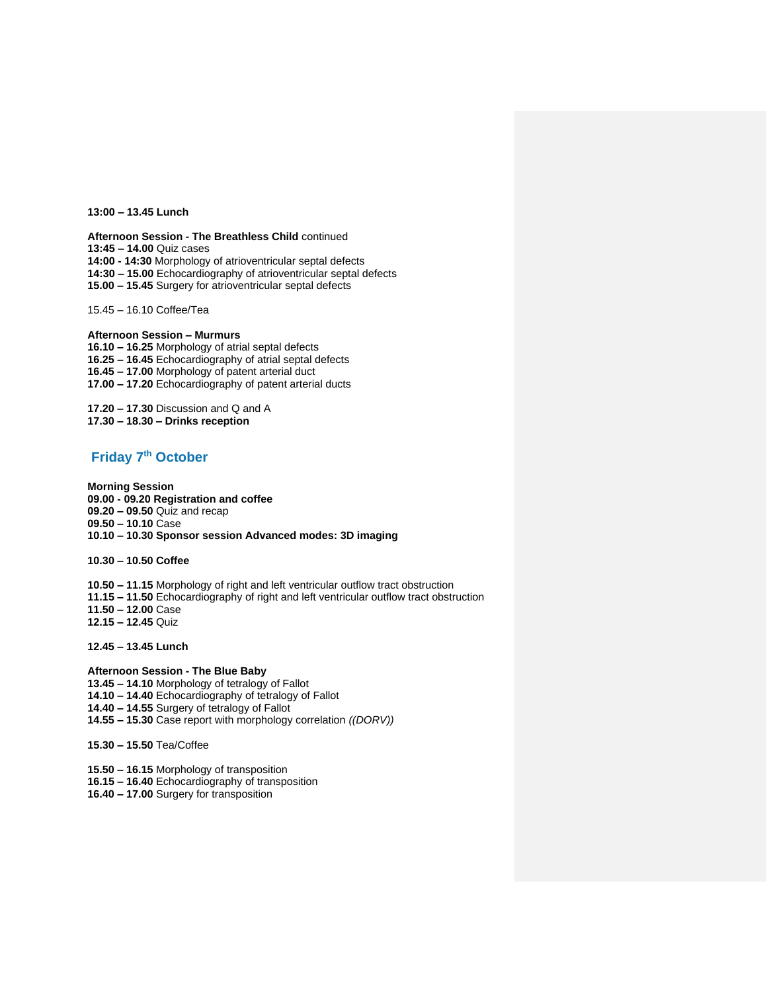**13:00 – 13.45 Lunch**

**Afternoon Session - The Breathless Child** continued **13:45 – 14.00** Quiz cases **14:00 - 14:30** Morphology of atrioventricular septal defects

**14:30 – 15.00** Echocardiography of atrioventricular septal defects

**15.00 – 15.45** Surgery for atrioventricular septal defects

15.45 – 16.10 Coffee/Tea

**Afternoon Session – Murmurs 16.10 – 16.25** Morphology of atrial septal defects **16.25 – 16.45** Echocardiography of atrial septal defects **16.45 – 17.00** Morphology of patent arterial duct **17.00 – 17.20** Echocardiography of patent arterial ducts

**17.20 – 17.30** Discussion and Q and A **17.30 – 18.30 – Drinks reception**

### **Friday 7 th October**

**Morning Session 09.00 - 09.20 Registration and coffee 09.20 – 09.50** Quiz and recap **09.50 – 10.10** Case **10.10 – 10.30 Sponsor session Advanced modes: 3D imaging** 

**10.30 – 10.50 Coffee**

**10.50 – 11.15** Morphology of right and left ventricular outflow tract obstruction **11.15 – 11.50** Echocardiography of right and left ventricular outflow tract obstruction **11.50 – 12.00** Case **12.15 – 12.45** Quiz

**12.45 – 13.45 Lunch**

**Afternoon Session - The Blue Baby 13.45 – 14.10** Morphology of tetralogy of Fallot **14.10 – 14.40** Echocardiography of tetralogy of Fallot **14.40 – 14.55** Surgery of tetralogy of Fallot **14.55 – 15.30** Case report with morphology correlation *((DORV))*

**15.30 – 15.50** Tea/Coffee

**15.50 – 16.15** Morphology of transposition **16.15 – 16.40** Echocardiography of transposition

**16.40 – 17.00** Surgery for transposition